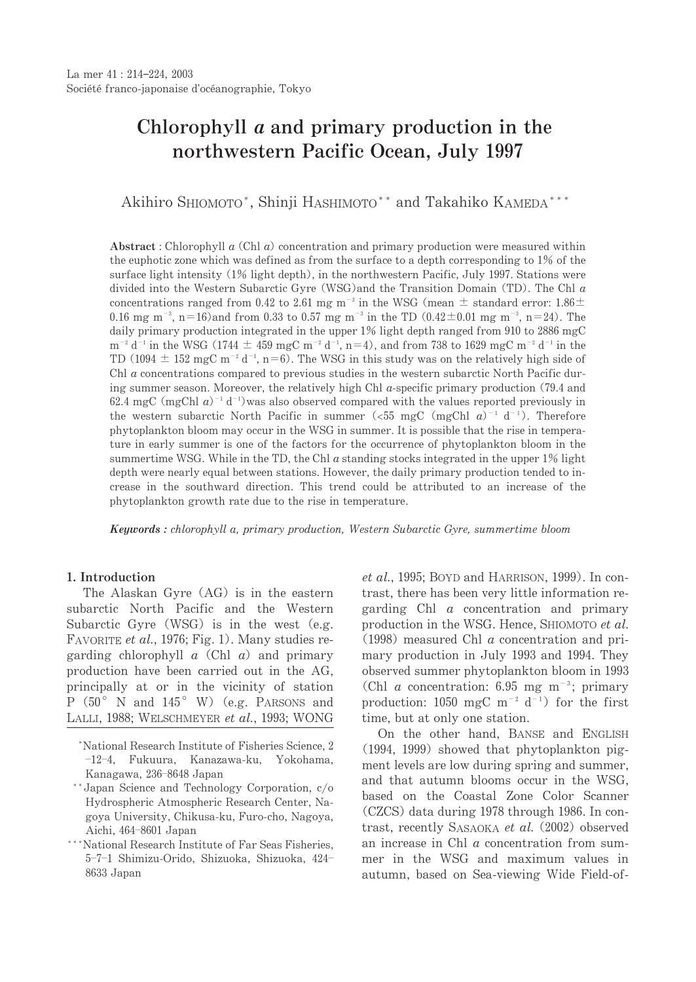# Chlorophyll *a* and primary production in the northwestern Pacific Ocean, July 1997

Akihiro SHIOMOTO\*, Shinji HASHIMOTO\*\* and Takahiko KAMEDA\*\*\*

Abstract: Chlorophyll  $a$  (Chl  $a$ ) concentration and primary production were measured within the euphotic zone which was defined as from the surface to a depth corresponding to  $1\%$  of the surface light intensity (1% light depth), in the northwestern Pacific, July 1997. Stations were divided into the Western Subarctic Gyre (WSG) and the Transition Domain (TD). The Chl  $a$ concentrations ranged from 0.42 to 2.61 mg m<sup>-3</sup> in the WSG (mean  $\pm$  standard error: 1.86 $\pm$ 0.16 mg m<sup>-3</sup>, n=16)and from 0.33 to 0.57 mg m<sup>-3</sup> in the TD (0.42 $\pm$ 0.01 mg m<sup>-3</sup>, n=24). The daily primary production integrated in the upper 1% light depth ranged from 910 to 2886 mgC  $m^{-2}$  d<sup>-1</sup> in the WSG (1744  $\pm$  459 mgC m<sup>-2</sup> d<sup>-1</sup>, n=4), and from 738 to 1629 mgC m<sup>-2</sup> d<sup>-1</sup> in the TD (1094  $\pm$  152 mgC m<sup>-2</sup> d<sup>-1</sup>, n=6). The WSG in this study was on the relatively high side of Chl a concentrations compared to previous studies in the western subarctic North Pacific during summer season. Moreover, the relatively high Chl  $a$ -specific primary production (79.4 and 62.4 mgC (mgChl  $a$ )<sup>-1</sup> d<sup>-1</sup>) was also observed compared with the values reported previously in the western subarctic North Pacific in summer (<55 mgC (mgChl  $a$ )<sup>-1</sup> d<sup>-1</sup>). Therefore phytoplankton bloom may occur in the WSG in summer. It is possible that the rise in temperature in early summer is one of the factors for the occurrence of phytoplankton bloom in the summertime WSG. While in the TD, the Chl  $a$  standing stocks integrated in the upper  $1\%$  light depth were nearly equal between stations. However, the daily primary production tended to increase in the southward direction. This trend could be attributed to an increase of the phytoplankton growth rate due to the rise in temperature.

**Keywords**: chlorophyll a, primary production, Western Subarctic Gyre, summertime bloom

# 1. Introduction

The Alaskan Gyre (AG) is in the eastern subarctic North Pacific and the Western Subarctic Gyre (WSG) is in the west (e.g. FAVORITE et al., 1976; Fig. 1). Many studies regarding chlorophyll  $a$  (Chl  $a$ ) and primary production have been carried out in the AG, principally at or in the vicinity of station  $P(50^{\circ} \text{ N and } 145^{\circ} \text{ W})$  (e.g. PARSONS and LALLI, 1988; WELSCHMEYER et al., 1993; WONG  $et al., 1995; BOYD and HARRISON, 1999). In con$ trast, there has been very little information regarding  $Chl$  a concentration and primary production in the WSG. Hence, SHIOMOTO et al.  $(1998)$  measured Chl  $a$  concentration and primary production in July 1993 and 1994. They observed summer phytoplankton bloom in 1993 (Chl *a* concentration: 6.95 mg m<sup>-3</sup>; primary production: 1050 mgC m<sup>-2</sup> d<sup>-1</sup>) for the first time, but at only one station.

On the other hand, BANSE and ENGLISH  $(1994, 1999)$  showed that phytoplankton pigment levels are low during spring and summer, and that autumn blooms occur in the WSG, based on the Coastal Zone Color Scanner (CZCS) data during 1978 through 1986. In contrast, recently SASAOKA et al. (2002) observed an increase in Chl  $a$  concentration from summer in the WSG and maximum values in autumn, based on Sea-viewing Wide Field-of-

<sup>\*</sup>National Research Institute of Fisheries Science, 2 -12-4, Fukuura, Kanazawa-ku, Yokohama, Kanagawa, 236-8648 Japan

<sup>\*\*</sup> Japan Science and Technology Corporation, c/o Hydrospheric Atmospheric Research Center, Nagoya University, Chikusa-ku, Furo-cho, Nagoya, Aichi, 464-8601 Japan

<sup>\*</sup>National Research Institute of Far Seas Fisheries. 5-7-1 Shimizu-Orido, Shizuoka, Shizuoka, 424-8633 Japan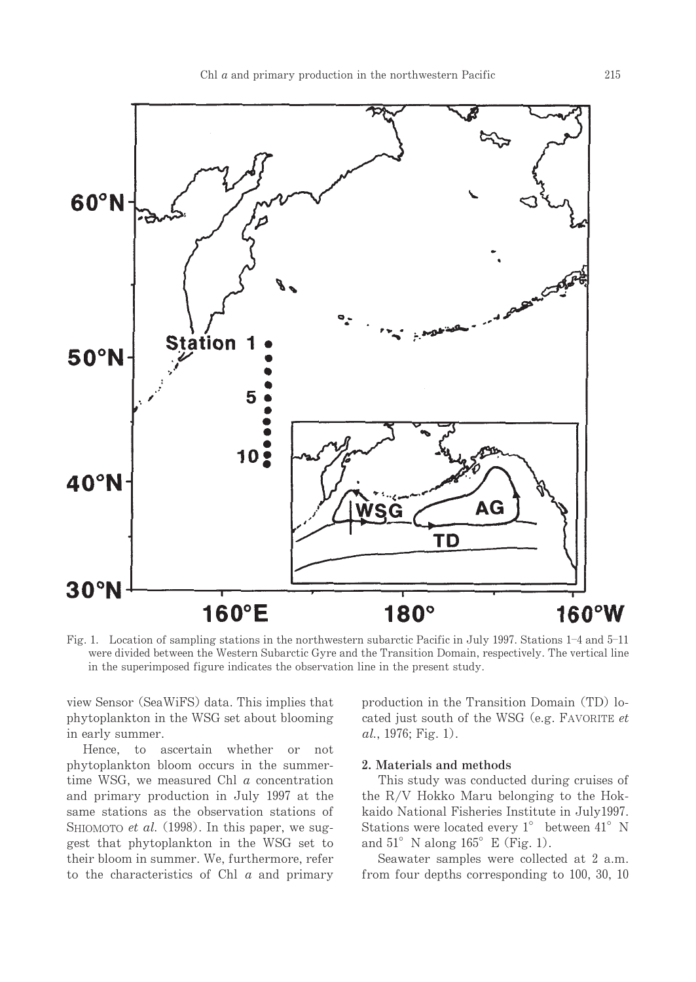

Fig. 1. Location of sampling stations in the northwestern subarctic Pacific in July 1997. Stations 1-4 and 5-11 were divided between the Western Subarctic Gyre and the Transition Domain, respectively. The vertical line in the superimposed figure indicates the observation line in the present study.

view Sensor (SeaWiFS) data. This implies that phytoplankton in the WSG set about blooming in early summer.

Hence, to ascertain whether or not phytoplankton bloom occurs in the summertime WSG, we measured Chl  $a$  concentration and primary production in July 1997 at the same stations as the observation stations of SHIOMOTO *et al.* (1998). In this paper, we suggest that phytoplankton in the WSG set to their bloom in summer. We, furthermore, refer to the characteristics of Chl  $a$  and primary production in the Transition Domain (TD) located just south of the WSG (e.g. FAVORITE et  $al., 1976; Fig. 1).$ 

# 2. Materials and methods

This study was conducted during cruises of the R/V Hokko Maru belonging to the Hokkaido National Fisheries Institute in July1997. Stations were located every  $1^{\circ}$  between  $41^{\circ}$  N and  $51^{\circ}$  N along  $165^{\circ}$  E (Fig. 1).

Seawater samples were collected at 2 a.m. from four depths corresponding to 100, 30, 10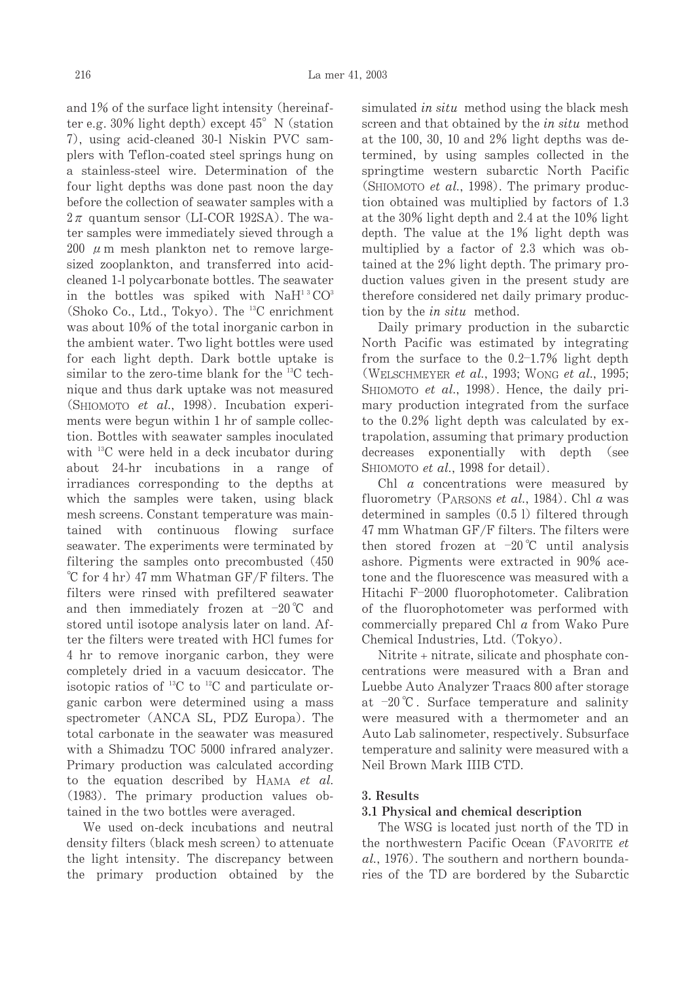and 1% of the surface light intensity (hereinafter e.g.  $30\%$  light depth) except  $45^{\circ}$  N (station 7), using acid-cleaned 30-1 Niskin PVC samplers with Teflon-coated steel springs hung on a stainless-steel wire. Determination of the four light depths was done past noon the day before the collection of seawater samples with a  $2\pi$  quantum sensor (LI-COR 192SA). The water samples were immediately sieved through a 200  $\mu$  m mesh plankton net to remove largesized zooplankton, and transferred into acidcleaned 1-1 polycarbonate bottles. The seawater in the bottles was spiked with  $NAH<sup>13</sup>CO<sup>3</sup>$ (Shoko Co., Ltd., Tokyo). The <sup>13</sup>C enrichment was about 10% of the total inorganic carbon in the ambient water. Two light bottles were used for each light depth. Dark bottle uptake is similar to the zero-time blank for the  $^{13}C$  technique and thus dark uptake was not measured (SHIOMOTO et al., 1998). Incubation experiments were begun within 1 hr of sample collection. Bottles with seawater samples inoculated with  $^{13}$ C were held in a deck incubator during about 24-hr incubations in a range of irradiances corresponding to the depths at which the samples were taken, using black mesh screens. Constant temperature was maintained with continuous flowing surface seawater. The experiments were terminated by filtering the samples onto precombusted (450) °C for 4 hr) 47 mm Whatman GF/F filters. The filters were rinsed with prefiltered seawater and then immediately frozen at  $-20^{\circ}$ C and stored until isotope analysis later on land. After the filters were treated with HCl fumes for 4 hr to remove inorganic carbon, they were completely dried in a vacuum desiccator. The isotopic ratios of <sup>13</sup>C to <sup>12</sup>C and particulate organic carbon were determined using a mass spectrometer (ANCA SL, PDZ Europa). The total carbonate in the seawater was measured with a Shimadzu TOC 5000 infrared analyzer. Primary production was calculated according to the equation described by HAMA et al. (1983). The primary production values obtained in the two bottles were averaged.

We used on-deck incubations and neutral density filters (black mesh screen) to attenuate the light intensity. The discrepancy between the primary production obtained by the simulated *in situ* method using the black mesh screen and that obtained by the *in situ* method at the 100, 30, 10 and 2% light depths was determined, by using samples collected in the springtime western subarctic North Pacific (SHIOMOTO et al., 1998). The primary production obtained was multiplied by factors of 1.3 at the 30% light depth and 2.4 at the 10% light depth. The value at the 1% light depth was multiplied by a factor of 2.3 which was obtained at the 2% light depth. The primary production values given in the present study are therefore considered net daily primary production by the *in situ* method.

Daily primary production in the subarctic North Pacific was estimated by integrating from the surface to the  $0.2-1.7\%$  light depth (WELSCHMEYER et al., 1993; WONG et al., 1995; SHIOMOTO et al., 1998). Hence, the daily primary production integrated from the surface to the 0.2% light depth was calculated by extrapolation, assuming that primary production decreases exponentially with depth (see SHIOMOTO et al., 1998 for detail).

Chl  $a$  concentrations were measured by fluorometry (PARSONS et al., 1984). Chl a was determined in samples  $(0.5 1)$  filtered through 47 mm Whatman GF/F filters. The filters were then stored frozen at  $-20^{\circ}$ C until analysis ashore. Pigments were extracted in 90% acetone and the fluorescence was measured with a Hitachi F-2000 fluorophotometer. Calibration of the fluorophotometer was performed with commercially prepared Chl a from Wako Pure Chemical Industries, Ltd. (Tokyo).

Nitrite + nitrate, silicate and phosphate concentrations were measured with a Bran and Luebbe Auto Analyzer Traacs 800 after storage at  $-20^{\circ}$ C. Surface temperature and salinity were measured with a thermometer and an Auto Lab salinometer, respectively. Subsurface temperature and salinity were measured with a Neil Brown Mark IIIB CTD.

## 3. Results

## 3.1 Physical and chemical description

The WSG is located just north of the TD in the northwestern Pacific Ocean (FAVORITE et al., 1976). The southern and northern boundaries of the TD are bordered by the Subarctic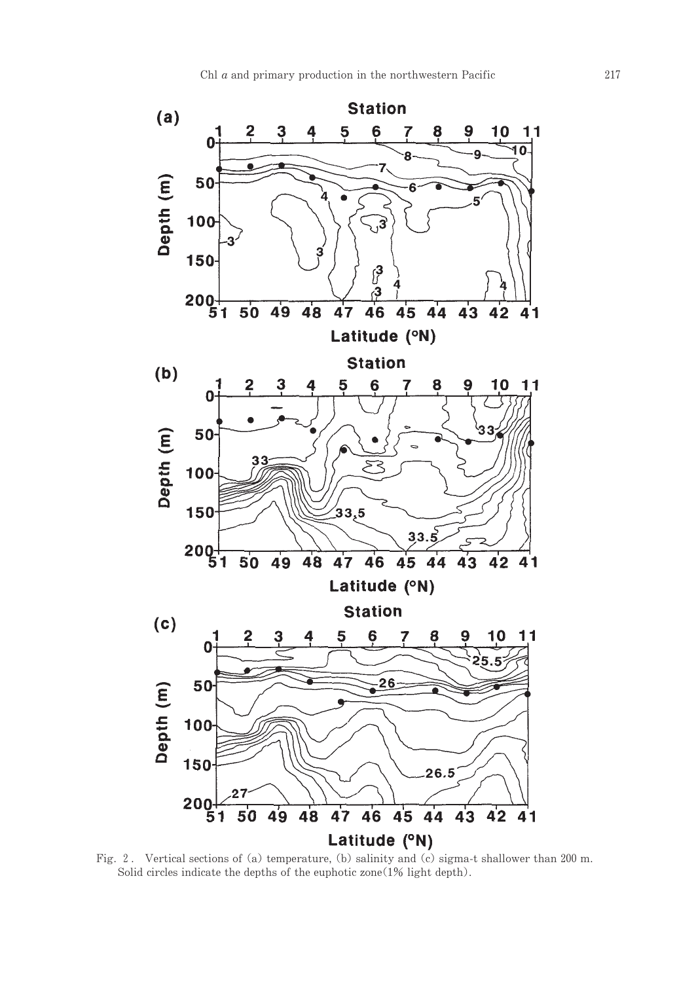

Fig. 2. Vertical sections of (a) temperature, (b) salinity and (c) sigma-t shallower than 200 m. Solid circles indicate the depths of the euphotic zone(1% light depth).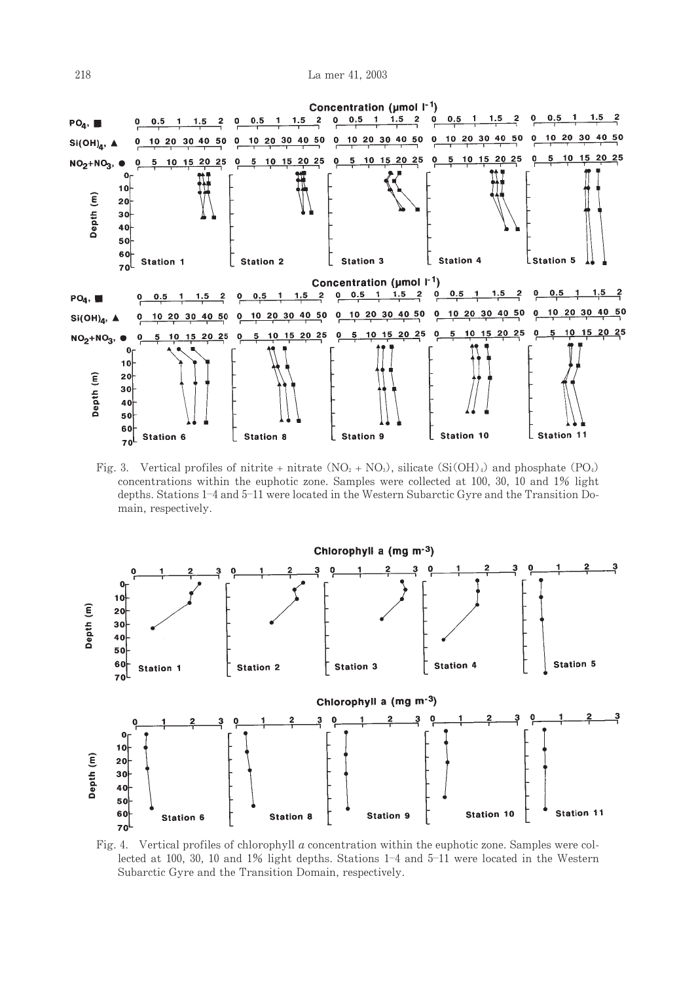

Fig. 3. Vertical profiles of nitrite + nitrate  $(NO_2 + NO_3)$ , silicate  $(Si(OH)_4)$  and phosphate  $(PO_4)$ concentrations within the euphotic zone. Samples were collected at 100, 30, 10 and 1% light depths. Stations 1-4 and 5-11 were located in the Western Subarctic Gyre and the Transition Domain, respectively.



Fig. 4. Vertical profiles of chlorophyll  $a$  concentration within the euphotic zone. Samples were collected at 100, 30, 10 and 1% light depths. Stations  $1-4$  and  $5-11$  were located in the Western Subarctic Gyre and the Transition Domain, respectively.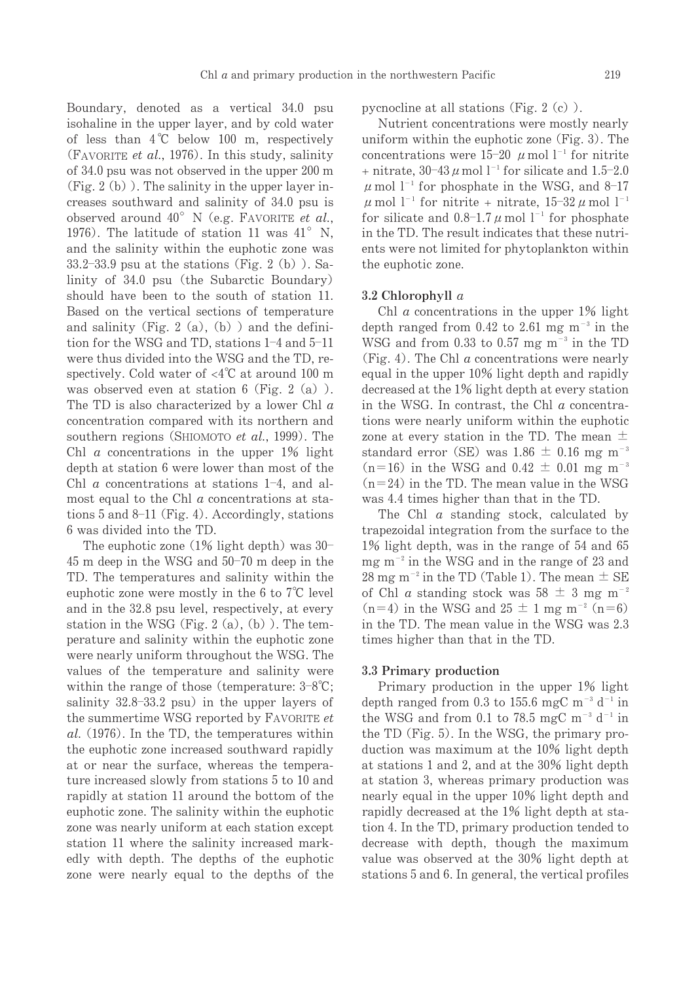219

Boundary, denoted as a vertical 34.0 psu isohaline in the upper layer, and by cold water of less than  $4^{\circ}C$  below 100 m, respectively (FAVORITE et al., 1976). In this study, salinity of 34.0 psu was not observed in the upper 200 m  $(Fig. 2(b))$ . The salinity in the upper layer increases southward and salinity of 34.0 psu is observed around  $40^{\circ}$  N (e.g. FAVORITE et al., 1976). The latitude of station 11 was  $41^{\circ}$  N, and the salinity within the euphotic zone was  $33.2-33.9$  psu at the stations (Fig. 2 (b)). Salinity of 34.0 psu (the Subarctic Boundary) should have been to the south of station 11. Based on the vertical sections of temperature and salinity (Fig. 2 (a), (b) ) and the definition for the WSG and TD, stations 1-4 and 5-11 were thus divided into the WSG and the TD, respectively. Cold water of  $\langle 4^{\circ}$ C at around 100 m was observed even at station  $6$  (Fig. 2 (a)). The TD is also characterized by a lower Chl  $\alpha$ concentration compared with its northern and southern regions (SHIOMOTO et al., 1999). The Chl  $\alpha$  concentrations in the upper 1% light depth at station 6 were lower than most of the Chl  $\alpha$  concentrations at stations 1-4, and almost equal to the Chl a concentrations at stations  $5$  and  $8-11$  (Fig. 4). Accordingly, stations 6 was divided into the TD.

The euphotic zone  $(1\%$  light depth) was 30-45 m deep in the WSG and 50-70 m deep in the TD. The temperatures and salinity within the euphotic zone were mostly in the 6 to  $7^{\circ}$ C level and in the 32.8 psu level, respectively, at every station in the WSG (Fig. 2 (a), (b)). The temperature and salinity within the euphotic zone were nearly uniform throughout the WSG. The values of the temperature and salinity were within the range of those (temperature:  $3-8^{\circ}\text{C}$ ; salinity  $32.8-33.2$  psu) in the upper layers of the summertime WSG reported by FAVORITE et al. (1976). In the TD, the temperatures within the euphotic zone increased southward rapidly at or near the surface, whereas the temperature increased slowly from stations 5 to 10 and rapidly at station 11 around the bottom of the euphotic zone. The salinity within the euphotic zone was nearly uniform at each station except station 11 where the salinity increased markedly with depth. The depths of the euphotic zone were nearly equal to the depths of the pycnocline at all stations (Fig.  $2(c)$ ).

Nutrient concentrations were mostly nearly uniform within the euphotic zone (Fig. 3). The concentrations were 15-20  $\mu$  mol 1<sup>-1</sup> for nitrite + nitrate,  $30-43 \mu$  mol  $1^{-1}$  for silicate and 1.5-2.0  $\mu$  mol  $l^{-1}$  for phosphate in the WSG, and 8-17  $\mu$  mol  $l^{-1}$  for nitrite + nitrate,  $15-32 \mu$  mol  $l^{-1}$ for silicate and  $0.8-1.7 \mu$  mol  $1^{-1}$  for phosphate in the TD. The result indicates that these nutrients were not limited for phytoplankton within the euphotic zone.

# 3.2 Chlorophyll  $a$

Chl  $a$  concentrations in the upper  $1\%$  light depth ranged from 0.42 to 2.61 mg  $m^{-3}$  in the WSG and from 0.33 to 0.57 mg  $m^{-3}$  in the TD (Fig. 4). The Chl  $\alpha$  concentrations were nearly equal in the upper 10% light depth and rapidly decreased at the 1% light depth at every station in the WSG. In contrast, the Chl  $a$  concentrations were nearly uniform within the euphotic zone at every station in the TD. The mean  $\pm$ standard error (SE) was 1.86  $\pm$  0.16 mg m<sup>-3</sup>  $(n=16)$  in the WSG and  $0.42 \pm 0.01$  mg m<sup>-3</sup>  $(n=24)$  in the TD. The mean value in the WSG was 4.4 times higher than that in the TD.

The Chl  $\alpha$  standing stock, calculated by trapezoidal integration from the surface to the 1% light depth, was in the range of 54 and 65 mg  $m^{-2}$  in the WSG and in the range of 23 and 28 mg m<sup>-2</sup> in the TD (Table 1). The mean  $\pm$  SE of Chl *a* standing stock was  $58 \pm 3$  mg m<sup>-2</sup>  $(n=4)$  in the WSG and  $25 \pm 1$  mg m<sup>-2</sup>  $(n=6)$ in the TD. The mean value in the WSG was 2.3 times higher than that in the TD.

## 3.3 Primary production

Primary production in the upper 1% light depth ranged from 0.3 to 155.6 mgC m<sup>-3</sup> d<sup>-1</sup> in the WSG and from 0.1 to 78.5 mgC m<sup>-3</sup> d<sup>-1</sup> in the TD (Fig. 5). In the WSG, the primary production was maximum at the 10% light depth at stations 1 and 2, and at the 30% light depth at station 3, whereas primary production was nearly equal in the upper 10% light depth and rapidly decreased at the 1% light depth at station 4. In the TD, primary production tended to decrease with depth, though the maximum value was observed at the 30% light depth at stations 5 and 6. In general, the vertical profiles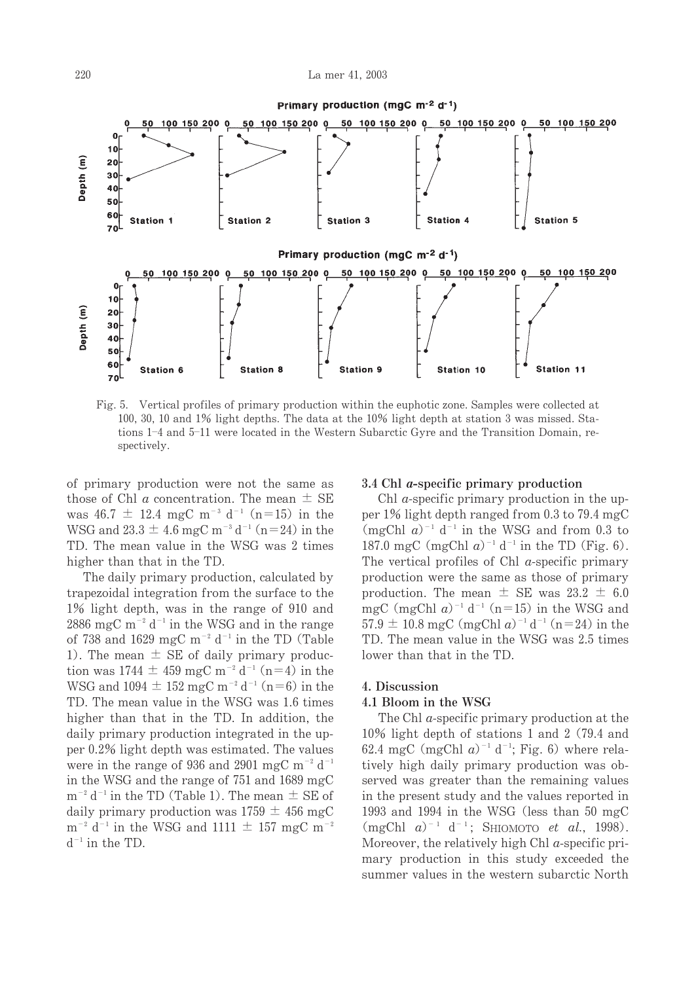

Fig. 5. Vertical profiles of primary production within the euphotic zone. Samples were collected at 100, 30, 10 and 1% light depths. The data at the 10% light depth at station 3 was missed. Stations 1-4 and 5-11 were located in the Western Subarctic Gyre and the Transition Domain, respectively.

of primary production were not the same as those of Chl a concentration. The mean  $\pm$  SE was 46.7  $\pm$  12.4 mgC m<sup>-3</sup> d<sup>-1</sup> (n=15) in the WSG and  $23.3 \pm 4.6$  mgC m<sup>-3</sup> d<sup>-1</sup> (n=24) in the TD. The mean value in the WSG was 2 times higher than that in the TD.

The daily primary production, calculated by trapezoidal integration from the surface to the 1% light depth, was in the range of 910 and 2886 mgC m<sup>-2</sup> d<sup>-1</sup> in the WSG and in the range of 738 and 1629 mgC m<sup>-2</sup> d<sup>-1</sup> in the TD (Table 1). The mean  $\pm$  SE of daily primary production was 1744  $\pm$  459 mgC m<sup>-2</sup> d<sup>-1</sup> (n=4) in the WSG and  $1094 \pm 152$  mgC m<sup>-2</sup> d<sup>-1</sup> (n=6) in the TD. The mean value in the WSG was 1.6 times higher than that in the TD. In addition, the daily primary production integrated in the upper 0.2% light depth was estimated. The values were in the range of 936 and 2901 mgC  $m^{-2}$  d<sup>-1</sup> in the WSG and the range of 751 and 1689 mgC  $m^{-2} d^{-1}$  in the TD (Table 1). The mean  $\pm$  SE of daily primary production was  $1759 \pm 456$  mgC  $m^{-2}$  d<sup>-1</sup> in the WSG and 1111  $\pm$  157 mgC m<sup>-2</sup>  $d^{-1}$  in the TD.

# 3.4 Chl *a*-specific primary production

Chl *a*-specific primary production in the upper 1% light depth ranged from 0.3 to 79.4 mgC  $(mgChl a)^{-1} d^{-1}$  in the WSG and from 0.3 to 187.0 mgC (mgChl  $a$ )<sup>-1</sup> d<sup>-1</sup> in the TD (Fig. 6). The vertical profiles of Chl  $a$ -specific primary production were the same as those of primary production. The mean  $\pm$  SE was 23.2  $\pm$  6.0 mgC (mgChl  $a$ )<sup>-1</sup> d<sup>-1</sup> (n=15) in the WSG and 57.9  $\pm$  10.8 mgC (mgChl a)<sup>-1</sup> d<sup>-1</sup> (n=24) in the TD. The mean value in the WSG was 2.5 times lower than that in the TD.

## 4. Discussion

#### 4.1 Bloom in the WSG

The Chl  $a$ -specific primary production at the 10% light depth of stations 1 and 2 (79.4 and 62.4 mgC (mgChl  $a$ )<sup>-1</sup> d<sup>-1</sup>; Fig. 6) where relatively high daily primary production was observed was greater than the remaining values in the present study and the values reported in 1993 and 1994 in the WSG (less than 50 mgC)  $(mgChl a)^{-1} d^{-1}$ ; SHIOMOTO *et al.*, 1998). Moreover, the relatively high Chl  $a$ -specific primary production in this study exceeded the summer values in the western subarctic North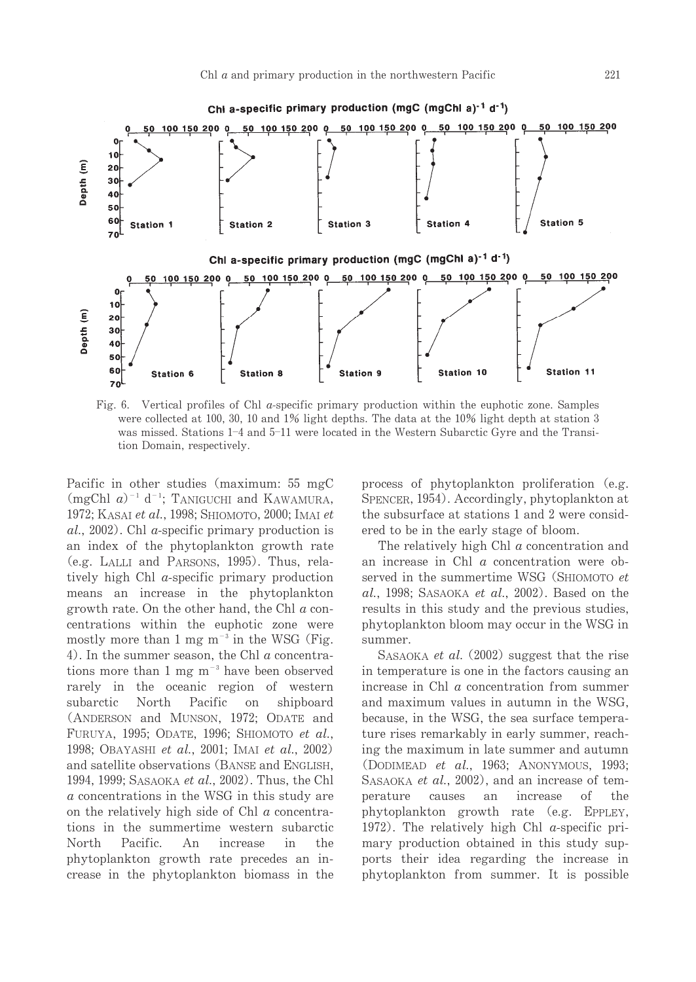

Fig. 6. Vertical profiles of Chl *a*-specific primary production within the euphotic zone. Samples were collected at 100, 30, 10 and 1% light depths. The data at the 10% light depth at station 3 was missed. Stations 1-4 and 5-11 were located in the Western Subarctic Gyre and the Transition Domain, respectively.

Pacific in other studies (maximum: 55 mgC  $(mgChl\ a)^{-1} d^{-1}$ ; TANIGUCHI and KAWAMURA, 1972; KASAI et al., 1998; SHIOMOTO, 2000; IMAI et  $al., 2002)$ . Chl a-specific primary production is an index of the phytoplankton growth rate (e.g. LALLI and PARSONS, 1995). Thus, relatively high Chl *a*-specific primary production means an increase in the phytoplankton growth rate. On the other hand, the Chl  $a$  concentrations within the euphotic zone were mostly more than 1 mg  $m^{-3}$  in the WSG (Fig. 4). In the summer season, the Chl  $a$  concentrations more than 1 mg  $m^{-3}$  have been observed rarely in the oceanic region of western subarctic North Pacific on shipboard (ANDERSON and MUNSON, 1972; ODATE and FURUYA, 1995; ODATE, 1996; SHIOMOTO et al., 1998: OBAYASHI et al., 2001: IMAI et al., 2002) and satellite observations (BANSE and ENGLISH, 1994, 1999; SASAOKA et al., 2002). Thus, the Chl a concentrations in the WSG in this study are on the relatively high side of Chl  $\alpha$  concentrations in the summertime western subarctic North Pacific. An increase in  $th\rho$ phytoplankton growth rate precedes an increase in the phytoplankton biomass in the process of phytoplankton proliferation (e.g. SPENCER, 1954). Accordingly, phytoplankton at the subsurface at stations 1 and 2 were considered to be in the early stage of bloom.

The relatively high Chl  $a$  concentration and an increase in Chl a concentration were observed in the summertime WSG (SHIOMOTO et al., 1998; SASAOKA et al., 2002). Based on the results in this study and the previous studies, phytoplankton bloom may occur in the WSG in summer.

SASAOKA et al. (2002) suggest that the rise in temperature is one in the factors causing an increase in Chl  $a$  concentration from summer and maximum values in autumn in the WSG, because, in the WSG, the sea surface temperature rises remarkably in early summer, reaching the maximum in late summer and autumn (DODIMEAD et al., 1963; ANONYMOUS, 1993; SASAOKA et al., 2002), and an increase of temperature causes an increase of the phytoplankton growth rate (e.g. EPPLEY, 1972). The relatively high Chl  $\alpha$ -specific primary production obtained in this study supports their idea regarding the increase in phytoplankton from summer. It is possible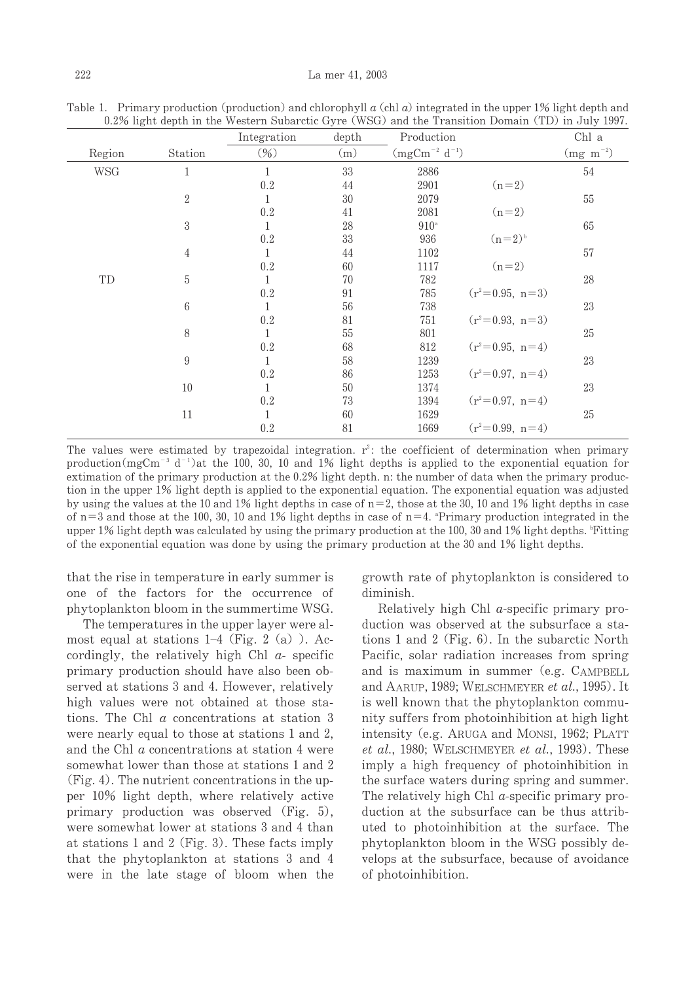|            |                  | Integration     | depth | Production           |                   | Chl a           |
|------------|------------------|-----------------|-------|----------------------|-------------------|-----------------|
| Region     | Station          | $(\frac{9}{6})$ | (m)   | $(mgCm^{-2} d^{-1})$ |                   | $(mg \ m^{-2})$ |
| <b>WSG</b> | $\mathbf{1}$     | $\mathbf{1}$    | 33    | 2886                 |                   | 54              |
|            |                  | 0.2             | 44    | 2901                 | $(n=2)$           |                 |
|            | $\overline{2}$   | 1               | 30    | 2079                 |                   | 55              |
|            |                  | 0.2             | 41    | 2081                 | $(n=2)$           |                 |
|            | $\boldsymbol{3}$ | 1               | 28    | $910^{\circ}$        |                   | 65              |
|            |                  | 0.2             | 33    | 936                  | $(n=2)^{b}$       |                 |
|            | $\overline{4}$   | 1               | 44    | 1102                 |                   | 57              |
|            |                  | 0.2             | 60    | 1117                 | $(n=2)$           |                 |
| TD         | 5                | 1               | 70    | 782                  |                   | $28\,$          |
|            |                  | 0.2             | 91    | 785                  | $(r^2=0.95, n=3)$ |                 |
|            | $\,6\,$          | 1               | 56    | 738                  |                   | 23              |
|            |                  | 0.2             | 81    | 751                  | $(r^2=0.93, n=3)$ |                 |
|            | 8                | 1               | 55    | 801                  |                   | 25              |
|            |                  | 0.2             | 68    | 812                  | $(r^2=0.95, n=4)$ |                 |
|            | $\boldsymbol{9}$ | 1               | 58    | 1239                 |                   | 23              |
|            |                  | 0.2             | 86    | 1253                 | $(r^2=0.97, n=4)$ |                 |
|            | 10               | 1               | 50    | 1374                 |                   | 23              |
|            |                  | 0.2             | 73    | 1394                 | $(r^2=0.97, n=4)$ |                 |
|            | 11               | 1               | 60    | 1629                 |                   | 25              |
|            |                  | 0.2             | 81    | 1669                 | $(r^2=0.99, n=4)$ |                 |

Table 1. Primary production (production) and chlorophyll  $a$  (chl  $a$ ) integrated in the upper 1% light depth and  $0.2\%$  light depth in the Western Subarctic Gyre (WSG) and the Transition Domain (TD) in July 1997

The values were estimated by trapezoidal integration.  $r^2$ : the coefficient of determination when primary production (mgCm<sup>-3</sup> d<sup>-1</sup>)at the 100, 30, 10 and 1% light depths is applied to the exponential equation for extimation of the primary production at the 0.2% light depth. n: the number of data when the primary production in the upper 1% light depth is applied to the exponential equation. The exponential equation was adjusted by using the values at the 10 and 1% light depths in case of  $n=2$ , those at the 30, 10 and 1% light depths in case of  $n=3$  and those at the 100, 30, 10 and 1% light depths in case of  $n=4$ . "Primary production integrated in the upper 1% light depth was calculated by using the primary production at the 100, 30 and 1% light depths. Fitting of the exponential equation was done by using the primary production at the 30 and 1% light depths.

that the rise in temperature in early summer is one of the factors for the occurrence of phytoplankton bloom in the summertime WSG.

The temperatures in the upper layer were almost equal at stations  $1-4$  (Fig. 2 (a)). Accordingly, the relatively high Chl  $a$ - specific primary production should have also been observed at stations 3 and 4. However, relatively high values were not obtained at those stations. The Chl  $a$  concentrations at station 3 were nearly equal to those at stations 1 and 2, and the Chl a concentrations at station 4 were somewhat lower than those at stations 1 and 2  $(Fig. 4)$ . The nutrient concentrations in the upper 10% light depth, where relatively active primary production was observed (Fig. 5), were somewhat lower at stations 3 and 4 than at stations 1 and 2 (Fig. 3). These facts imply that the phytoplankton at stations 3 and 4 were in the late stage of bloom when the

growth rate of phytoplankton is considered to diminish.

Relatively high Chl  $a$ -specific primary production was observed at the subsurface a stations 1 and 2 (Fig.  $6$ ). In the subarctic North Pacific, solar radiation increases from spring and is maximum in summer (e.g. CAMPBELL and AARUP, 1989; WELSCHMEYER et al., 1995). It is well known that the phytoplankton community suffers from photoinhibition at high light intensity (e.g. ARUGA and MONSI, 1962; PLATT *et al.*, 1980; WELSCHMEYER *et al.*, 1993). These imply a high frequency of photoinhibition in the surface waters during spring and summer. The relatively high Chl *a*-specific primary production at the subsurface can be thus attributed to photoinhibition at the surface. The phytoplankton bloom in the WSG possibly develops at the subsurface, because of avoidance of photoinhibition.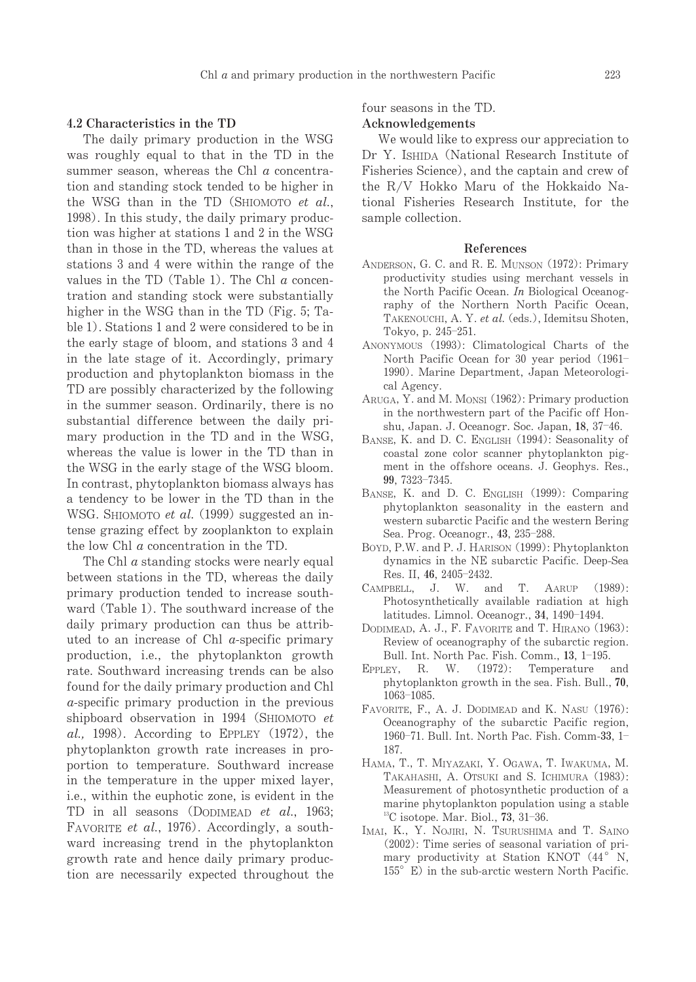#### 4.2 Characteristics in the TD

The daily primary production in the WSG was roughly equal to that in the TD in the summer season, whereas the Chl  $a$  concentration and standing stock tended to be higher in the WSG than in the TD (SHIOMOTO et al., 1998). In this study, the daily primary production was higher at stations 1 and 2 in the WSG than in those in the TD, whereas the values at stations 3 and 4 were within the range of the values in the TD (Table 1). The Chl  $a$  concentration and standing stock were substantially higher in the WSG than in the TD (Fig. 5; Table 1). Stations 1 and 2 were considered to be in the early stage of bloom, and stations 3 and 4 in the late stage of it. Accordingly, primary production and phytoplankton biomass in the TD are possibly characterized by the following in the summer season. Ordinarily, there is no substantial difference between the daily primary production in the TD and in the WSG, whereas the value is lower in the TD than in the WSG in the early stage of the WSG bloom. In contrast, phytoplankton biomass always has a tendency to be lower in the TD than in the WSG. SHIOMOTO et al. (1999) suggested an intense grazing effect by zooplankton to explain the low Chl  $\alpha$  concentration in the TD.

The Chl *a* standing stocks were nearly equal between stations in the TD, whereas the daily primary production tended to increase southward (Table 1). The southward increase of the daily primary production can thus be attributed to an increase of Chl  $a$ -specific primary production, i.e., the phytoplankton growth rate. Southward increasing trends can be also found for the daily primary production and Chl  $a$ -specific primary production in the previous shipboard observation in 1994 (SHIOMOTO et  $al., 1998).$  According to EPPLEY (1972), the phytoplankton growth rate increases in proportion to temperature. Southward increase in the temperature in the upper mixed layer, i.e., within the euphotic zone, is evident in the TD in all seasons (DODIMEAD et al., 1963; FAVORITE et al., 1976). Accordingly, a southward increasing trend in the phytoplankton growth rate and hence daily primary production are necessarily expected throughout the

four seasons in the TD.

#### Acknowledgements

We would like to express our appreciation to Dr Y. ISHIDA (National Research Institute of Fisheries Science), and the captain and crew of the R/V Hokko Maru of the Hokkaido National Fisheries Research Institute, for the sample collection.

#### References

- ANDERSON, G. C. and R. E. MUNSON (1972): Primary productivity studies using merchant vessels in the North Pacific Ocean. In Biological Oceanography of the Northern North Pacific Ocean. TAKENOUCHI, A. Y. et al. (eds.), Idemitsu Shoten, Tokyo, p. 245-251.
- ANONYMOUS (1993): Climatological Charts of the North Pacific Ocean for 30 year period (1961-1990). Marine Department, Japan Meteorological Agency.
- ARUGA, Y. and M. MONSI (1962): Primary production in the northwestern part of the Pacific off Honshu, Japan. J. Oceanogr. Soc. Japan, 18, 37-46.
- BANSE, K. and D. C. ENGLISH (1994): Seasonality of coastal zone color scanner phytoplankton pigment in the offshore oceans. J. Geophys. Res., 99, 7323-7345.
- BANSE, K. and D. C. ENGLISH (1999): Comparing phytoplankton seasonality in the eastern and western subarctic Pacific and the western Bering Sea. Prog. Oceanogr., 43, 235-288.
- BOYD, P.W. and P. J. HARISON (1999): Phytoplankton dynamics in the NE subarctic Pacific. Deep-Sea Res. II, 46, 2405-2432.
- CAMPBELL, J. W. and T. AARUP  $(1989)$ : Photosynthetically available radiation at high latitudes. Limnol. Oceanogr., 34, 1490-1494.
- DODIMEAD, A. J., F. FAVORITE and T. HIRANO (1963): Review of oceanography of the subarctic region. Bull. Int. North Pac. Fish. Comm., 13, 1-195.
- EPPLEY, R. W. (1972): Temperature and phytoplankton growth in the sea. Fish. Bull., 70,  $1063 - 1085.$
- FAVORITE, F., A. J. DODIMEAD and K. NASU (1976): Oceanography of the subarctic Pacific region, 1960-71. Bull. Int. North Pac. Fish. Comm-33, 1-187.
- HAMA, T., T. MIYAZAKI, Y. OGAWA, T. IWAKUMA, M. TAKAHASHI, A. OTSUKI and S. ICHIMURA (1983): Measurement of photosynthetic production of a marine phytoplankton population using a stable  $^{13}$ C isotope. Mar. Biol., 73, 31-36.
- IMAI, K., Y. NOJIRI, N. TSURUSHIMA and T. SAINO  $(2002)$ : Time series of seasonal variation of primary productivity at Station KNOT (44° N, 155° E) in the sub-arctic western North Pacific.